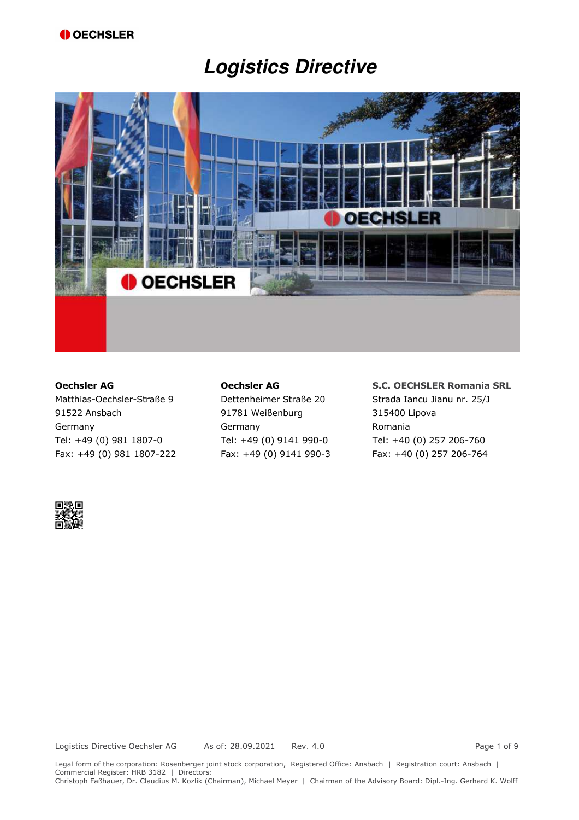# **Logistics Directive**



Matthias-Oechsler-Straße 9 Dettenheimer Straße 20 Strada Iancu Jianu nr. 25/J 91522 Ansbach 91781 Weißenburg 315400 Lipova Germany Germany Germany Romania Tel: +49 (0) 981 1807-0 Tel: +49 (0) 9141 990-0 Tel: +40 (0) 257 206-760 Fax: +49 (0) 981 1807-222 Fax: +49 (0) 9141 990-3 Fax: +40 (0) 257 206-764

#### **Oechsler AG Oechsler AG S.C. OECHSLER Romania SRL**

Legal form of the corporation: Rosenberger joint stock corporation, Registered Office: Ansbach | Registration court: Ansbach | Commercial Register: HRB 3182 | Directors: Christoph Faßhauer, Dr. Claudius M. Kozlik (Chairman), Michael Meyer | Chairman of the Advisory Board: Dipl.-Ing. Gerhard K. Wolff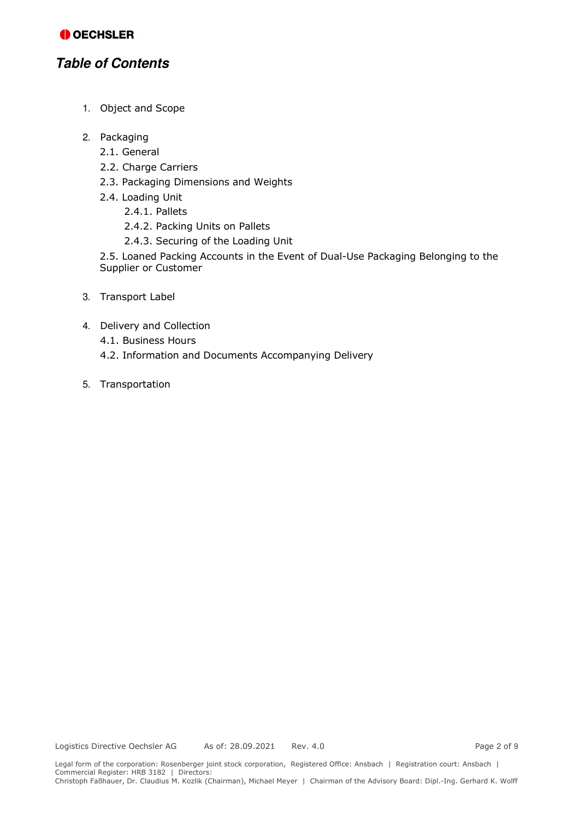# **Table of Contents**

- 1. Object and Scope
- 2. Packaging
	- 2.1. General
	- 2.2. Charge Carriers
	- 2.3. Packaging Dimensions and Weights
	- 2.4. Loading Unit
		- 2.4.1. Pallets
		- 2.4.2. Packing Units on Pallets
		- 2.4.3. Securing of the Loading Unit

2.5. Loaned Packing Accounts in the Event of Dual-Use Packaging Belonging to the Supplier or Customer

- 3. Transport Label
- 4. Delivery and Collection
	- 4.1. Business Hours
	- 4.2. Information and Documents Accompanying Delivery
- 5. Transportation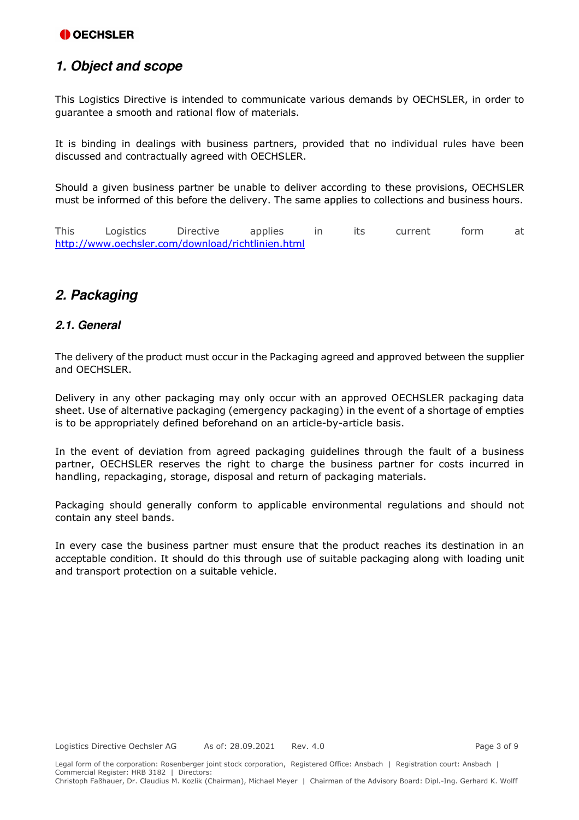# **1. Object and scope**

This Logistics Directive is intended to communicate various demands by OECHSLER, in order to guarantee a smooth and rational flow of materials.

It is binding in dealings with business partners, provided that no individual rules have been discussed and contractually agreed with OECHSLER.

Should a given business partner be unable to deliver according to these provisions, OECHSLER must be informed of this before the delivery. The same applies to collections and business hours.

This Logistics Directive applies in its current form at http://www.oechsler.com/download/richtlinien.html

# **2. Packaging**

#### **2.1. General**

The delivery of the product must occur in the Packaging agreed and approved between the supplier and OECHSLER.

Delivery in any other packaging may only occur with an approved OECHSLER packaging data sheet. Use of alternative packaging (emergency packaging) in the event of a shortage of empties is to be appropriately defined beforehand on an article-by-article basis.

In the event of deviation from agreed packaging guidelines through the fault of a business partner, OECHSLER reserves the right to charge the business partner for costs incurred in handling, repackaging, storage, disposal and return of packaging materials.

Packaging should generally conform to applicable environmental regulations and should not contain any steel bands.

In every case the business partner must ensure that the product reaches its destination in an acceptable condition. It should do this through use of suitable packaging along with loading unit and transport protection on a suitable vehicle.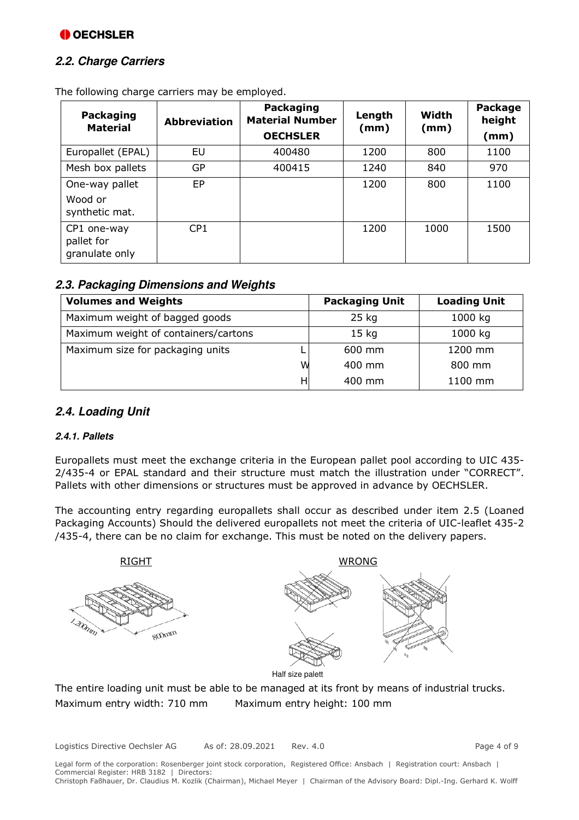### **2.2. Charge Carriers**

| Packaging<br><b>Material</b>                | <b>Abbreviation</b> | <b>Packaging</b><br><b>Material Number</b><br><b>OECHSLER</b> | Length<br>(mm) | Width<br>(mm) | Package<br>height<br>(mm) |
|---------------------------------------------|---------------------|---------------------------------------------------------------|----------------|---------------|---------------------------|
| Europallet (EPAL)                           | EU                  | 400480                                                        | 1200           | 800           | 1100                      |
| Mesh box pallets                            | GP                  | 400415                                                        | 1240           | 840           | 970                       |
| One-way pallet<br>Wood or<br>synthetic mat. | EP                  |                                                               | 1200           | 800           | 1100                      |
| CP1 one-way<br>pallet for<br>granulate only | CP <sub>1</sub>     |                                                               | 1200           | 1000          | 1500                      |

The following charge carriers may be employed.

### **2.3. Packaging Dimensions and Weights**

| <b>Volumes and Weights</b>           |   | <b>Packaging Unit</b> | <b>Loading Unit</b> |
|--------------------------------------|---|-----------------------|---------------------|
| Maximum weight of bagged goods       |   | 25 kg                 | 1000 kg             |
| Maximum weight of containers/cartons |   | 15 <sub>kg</sub>      | 1000 kg             |
| Maximum size for packaging units     |   | 600 mm                | 1200 mm             |
|                                      | W | 400 mm                | 800 mm              |
|                                      | н | 400 mm                | 1100 mm             |

### **2.4. Loading Unit**

#### **2.4.1. Pallets**

Europallets must meet the exchange criteria in the European pallet pool according to UIC 435- 2/435-4 or EPAL standard and their structure must match the illustration under "CORRECT". Pallets with other dimensions or structures must be approved in advance by OECHSLER.

The accounting entry regarding europallets shall occur as described under item 2.5 (Loaned Packaging Accounts) Should the delivered europallets not meet the criteria of UIC-leaflet 435-2 /435-4, there can be no claim for exchange. This must be noted on the delivery papers.



The entire loading unit must be able to be managed at its front by means of industrial trucks. Maximum entry width: 710 mm Maximum entry height: 100 mm

Logistics Directive Oechsler AG As of: 28.09.2021 Rev. 4.0 Page 4 of 9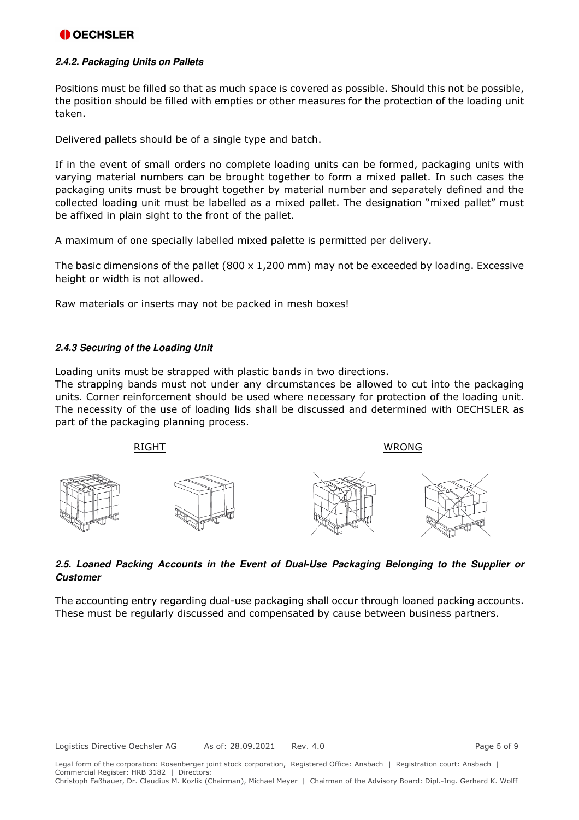#### **2.4.2. Packaging Units on Pallets**

Positions must be filled so that as much space is covered as possible. Should this not be possible, the position should be filled with empties or other measures for the protection of the loading unit taken.

Delivered pallets should be of a single type and batch.

If in the event of small orders no complete loading units can be formed, packaging units with varying material numbers can be brought together to form a mixed pallet. In such cases the packaging units must be brought together by material number and separately defined and the collected loading unit must be labelled as a mixed pallet. The designation "mixed pallet" must be affixed in plain sight to the front of the pallet.

A maximum of one specially labelled mixed palette is permitted per delivery.

The basic dimensions of the pallet (800 x 1,200 mm) may not be exceeded by loading. Excessive height or width is not allowed.

Raw materials or inserts may not be packed in mesh boxes!

#### **2.4.3 Securing of the Loading Unit**

Loading units must be strapped with plastic bands in two directions.

The strapping bands must not under any circumstances be allowed to cut into the packaging units. Corner reinforcement should be used where necessary for protection of the loading unit. The necessity of the use of loading lids shall be discussed and determined with OECHSLER as part of the packaging planning process.



#### **2.5. Loaned Packing Accounts in the Event of Dual-Use Packaging Belonging to the Supplier or Customer**

The accounting entry regarding dual-use packaging shall occur through loaned packing accounts. These must be regularly discussed and compensated by cause between business partners.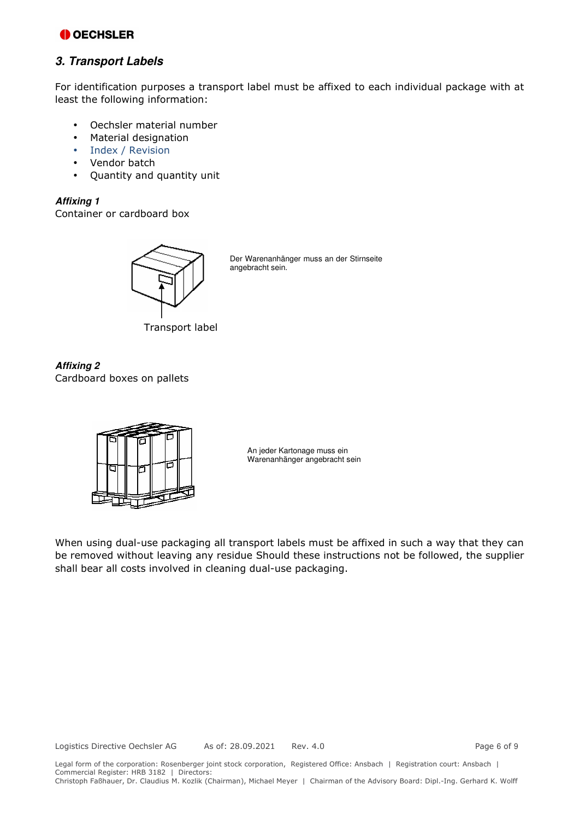#### **3. Transport Labels**

For identification purposes a transport label must be affixed to each individual package with at least the following information:

- Oechsler material number
- Material designation
- Index / Revision
- Vendor batch
- Quantity and quantity unit

#### **Affixing 1**

Container or cardboard box



Der Warenanhänger muss an der Stirnseite angebracht sein.

Transport label

**Affixing 2**  Cardboard boxes on pallets



An jeder Kartonage muss ein Warenanhänger angebracht sein

When using dual-use packaging all transport labels must be affixed in such a way that they can be removed without leaving any residue Should these instructions not be followed, the supplier shall bear all costs involved in cleaning dual-use packaging.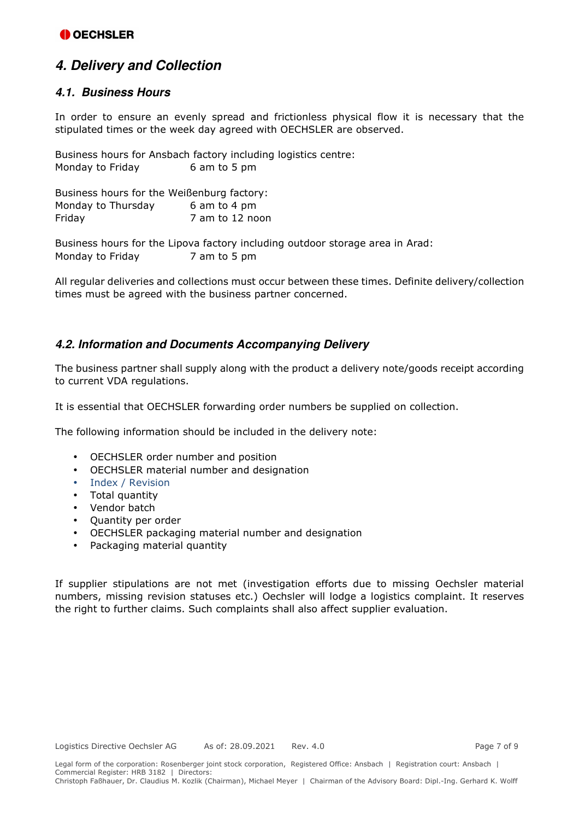# **4. Delivery and Collection**

#### **4.1. Business Hours**

In order to ensure an evenly spread and frictionless physical flow it is necessary that the stipulated times or the week day agreed with OECHSLER are observed.

Business hours for Ansbach factory including logistics centre: Monday to Friday 6 am to 5 pm

| Business hours for the Weißenburg factory: |                 |
|--------------------------------------------|-----------------|
| Monday to Thursday                         | 6 am to 4 pm    |
| Friday                                     | 7 am to 12 noon |

Business hours for the Lipova factory including outdoor storage area in Arad: Monday to Friday 7 am to 5 pm

All regular deliveries and collections must occur between these times. Definite delivery/collection times must be agreed with the business partner concerned.

#### **4.2. Information and Documents Accompanying Delivery**

The business partner shall supply along with the product a delivery note/goods receipt according to current VDA regulations.

It is essential that OECHSLER forwarding order numbers be supplied on collection.

The following information should be included in the delivery note:

- OECHSLER order number and position
- OECHSLER material number and designation
- Index / Revision
- Total quantity
- Vendor batch
- Quantity per order
- OECHSLER packaging material number and designation
- Packaging material quantity

If supplier stipulations are not met (investigation efforts due to missing Oechsler material numbers, missing revision statuses etc.) Oechsler will lodge a logistics complaint. It reserves the right to further claims. Such complaints shall also affect supplier evaluation.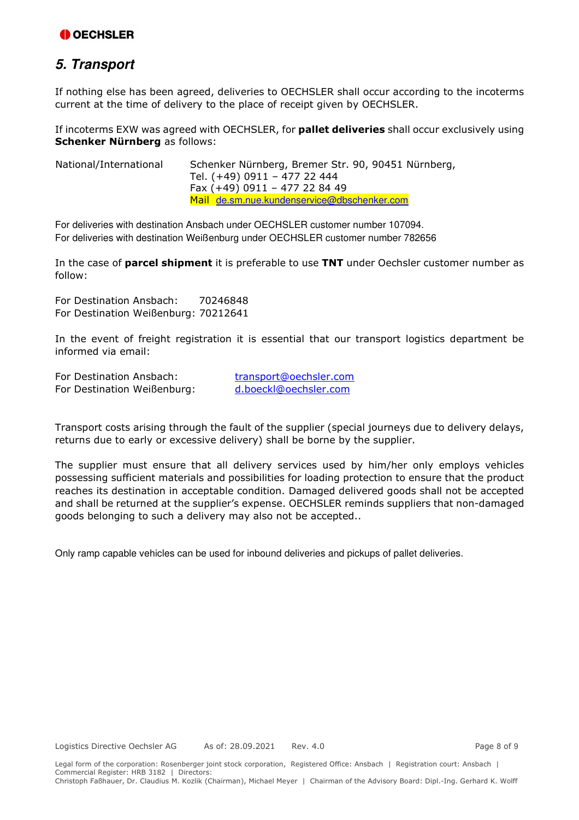# **5. Transport**

If nothing else has been agreed, deliveries to OECHSLER shall occur according to the incoterms current at the time of delivery to the place of receipt given by OECHSLER.

If incoterms EXW was agreed with OECHSLER, for **pallet deliveries** shall occur exclusively using **Schenker Nürnberg** as follows:

| National/International | Schenker Nürnberg, Bremer Str. 90, 90451 Nürnberg, |
|------------------------|----------------------------------------------------|
|                        | Tel. (+49) 0911 - 477 22 444                       |
|                        | Fax (+49) 0911 - 477 22 84 49                      |
|                        | Mail de.sm.nue.kundenservice@dbschenker.com        |

For deliveries with destination Ansbach under OECHSLER customer number 107094. For deliveries with destination Weißenburg under OECHSLER customer number 782656

In the case of **parcel shipment** it is preferable to use **TNT** under Oechsler customer number as follow:

For Destination Ansbach: 70246848 For Destination Weißenburg: 70212641

In the event of freight registration it is essential that our transport logistics department be informed via email:

For Destination Ansbach: transport@oechsler.com For Destination Weißenburg: d.boeckl@oechsler.com

Transport costs arising through the fault of the supplier (special journeys due to delivery delays, returns due to early or excessive delivery) shall be borne by the supplier.

The supplier must ensure that all delivery services used by him/her only employs vehicles possessing sufficient materials and possibilities for loading protection to ensure that the product reaches its destination in acceptable condition. Damaged delivered goods shall not be accepted and shall be returned at the supplier's expense. OECHSLER reminds suppliers that non-damaged goods belonging to such a delivery may also not be accepted..

Only ramp capable vehicles can be used for inbound deliveries and pickups of pallet deliveries.